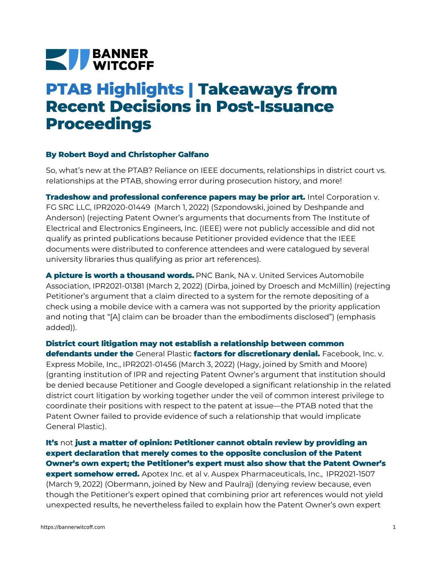## **NEW BANNER**

## **PTAB Highlights | Takeaways from Recent Decisions in Post-Issuance Proceedings**

## **By Robert Boyd and Christopher Galfano**

So, what's new at the PTAB? Reliance on IEEE documents, relationships in district court vs. relationships at the PTAB, showing error during prosecution history, and more!

**Tradeshow and professional conference papers may be prior art.** Intel Corporation v. FG SRC LLC, [IPR2020-01449](https://bannerwitcoff.com/wp-content/uploads/2022/03/IPR2020-01449.pdf) (March 1, 2022) (Szpondowski, joined by Deshpande and Anderson) (rejecting Patent Owner's arguments that documents from The Institute of Electrical and Electronics Engineers, Inc. (IEEE) were not publicly accessible and did not qualify as printed publications because Petitioner provided evidence that the IEEE documents were distributed to conference attendees and were catalogued by several university libraries thus qualifying as prior art references).

**A picture is worth a thousand words.** PNC Bank, NA v. United Services Automobile Association, [IPR2021-01381](https://bannerwitcoff.com/wp-content/uploads/2022/03/IPR2021-01381.pdf) (March 2, 2022) (Dirba, joined by Droesch and McMillin) (rejecting Petitioner's argument that a claim directed to a system for the remote depositing of a check using a mobile device with a camera was not supported by the priority application and noting that "[A] claim can be broader than the embodiments disclosed") (emphasis added)).

**District court litigation may not establish a relationship between common defendants under the** General Plastic **factors for discretionary denial.** Facebook, Inc. v. Express Mobile, Inc., [IPR2021-01456](https://bannerwitcoff.com/wp-content/uploads/2022/03/IPR2021-01456.pdf) (March 3, 2022) (Hagy, joined by Smith and Moore) (granting institution of IPR and rejecting Patent Owner's argument that institution should be denied because Petitioner and Google developed a significant relationship in the related district court litigation by working together under the veil of common interest privilege to coordinate their positions with respect to the patent at issue—the PTAB noted that the Patent Owner failed to provide evidence of such a relationship that would implicate General Plastic).

## **It's** not **just a matter of opinion: Petitioner cannot obtain review by providing an expert declaration that merely comes to the opposite conclusion of the Patent Owner's own expert; the Petitioner's expert must also show that the Patent Owner's**

**expert somehow erred.** Apotex Inc. et al v. Auspex [Pharmaceuticals,](https://bannerwitcoff.com/wp-content/uploads/2022/03/IPR2021-01507.pdf) Inc., IPR2021-1507 (March 9, 2022) (Obermann, joined by New and Paulraj) (denying review because, even though the Petitioner's expert opined that combining prior art references would not yield unexpected results, he nevertheless failed to explain how the Patent Owner's own expert